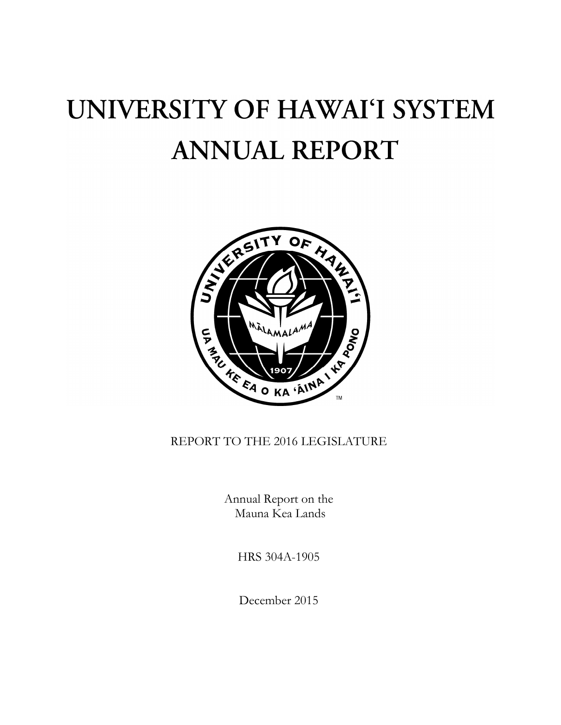# UNIVERSITY OF HAWAI'I SYSTEM **ANNUAL REPORT**



# REPORT TO THE 2016 LEGISLATURE

Annual Report on the Mauna Kea Lands

HRS 304A-1905

December 2015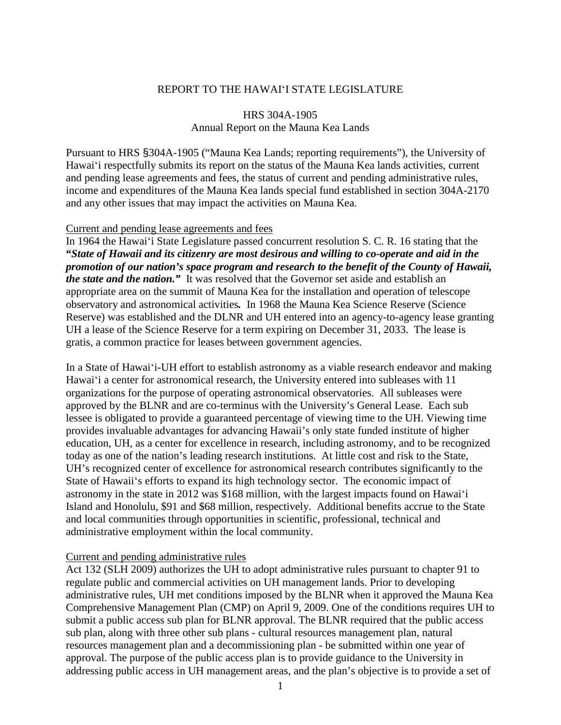## REPORT TO THE HAWAIʻI STATE LEGISLATURE

# HRS 304A-1905 Annual Report on the Mauna Kea Lands

Pursuant to HRS §304A-1905 ("Mauna Kea Lands; reporting requirements"), the University of Hawaiʻi respectfully submits its report on the status of the Mauna Kea lands activities, current and pending lease agreements and fees, the status of current and pending administrative rules, income and expenditures of the Mauna Kea lands special fund established in section 304A-2170 and any other issues that may impact the activities on Mauna Kea.

### Current and pending lease agreements and fees

In 1964 the Hawaiʻi State Legislature passed concurrent resolution S. C. R. 16 stating that the **"***State of Hawaii and its citizenry are most desirous and willing to co-operate and aid in the promotion of our nation's space program and research to the benefit of the County of Hawaii, the state and the nation."* It was resolved that the Governor set aside and establish an appropriate area on the summit of Mauna Kea for the installation and operation of telescope observatory and astronomical activities*.* In 1968 the Mauna Kea Science Reserve (Science Reserve) was established and the DLNR and UH entered into an agency-to-agency lease granting UH a lease of the Science Reserve for a term expiring on December 31, 2033. The lease is gratis, a common practice for leases between government agencies.

In a State of Hawaiʻi-UH effort to establish astronomy as a viable research endeavor and making Hawaiʻi a center for astronomical research, the University entered into subleases with 11 organizations for the purpose of operating astronomical observatories. All subleases were approved by the BLNR and are co-terminus with the University's General Lease. Each sub lessee is obligated to provide a guaranteed percentage of viewing time to the UH. Viewing time provides invaluable advantages for advancing Hawaii's only state funded institute of higher education, UH, as a center for excellence in research, including astronomy, and to be recognized today as one of the nation's leading research institutions. At little cost and risk to the State, UH's recognized center of excellence for astronomical research contributes significantly to the State of Hawaiiʻs efforts to expand its high technology sector. The economic impact of astronomy in the state in 2012 was \$168 million, with the largest impacts found on Hawaiʻi Island and Honolulu, \$91 and \$68 million, respectively. Additional benefits accrue to the State and local communities through opportunities in scientific, professional, technical and administrative employment within the local community.

#### Current and pending administrative rules

Act 132 (SLH 2009) authorizes the UH to adopt administrative rules pursuant to chapter 91 to regulate public and commercial activities on UH management lands. Prior to developing administrative rules, UH met conditions imposed by the BLNR when it approved the Mauna Kea Comprehensive Management Plan (CMP) on April 9, 2009. One of the conditions requires UH to submit a public access sub plan for BLNR approval. The BLNR required that the public access sub plan, along with three other sub plans - cultural resources management plan, natural resources management plan and a decommissioning plan - be submitted within one year of approval. The purpose of the public access plan is to provide guidance to the University in addressing public access in UH management areas, and the plan's objective is to provide a set of